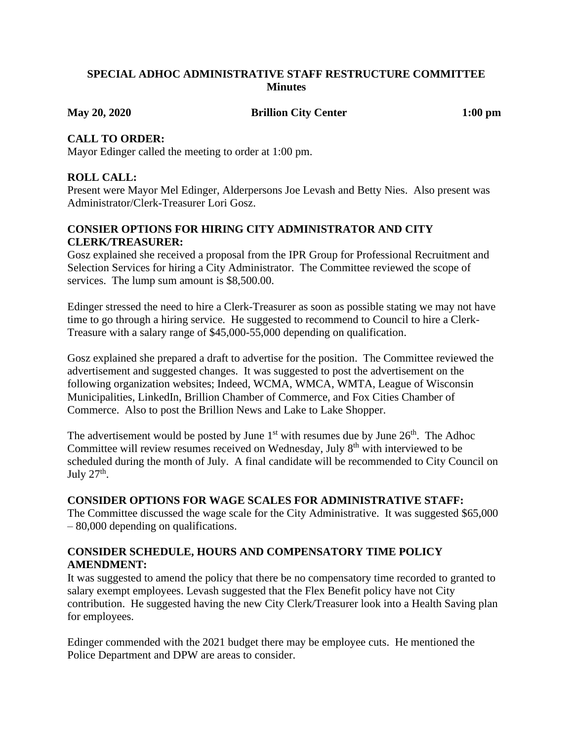## **SPECIAL ADHOC ADMINISTRATIVE STAFF RESTRUCTURE COMMITTEE Minutes**

**May 20, 2020 Brillion City Center 1:00 pm**

## **CALL TO ORDER:**

Mayor Edinger called the meeting to order at 1:00 pm.

# **ROLL CALL:**

Present were Mayor Mel Edinger, Alderpersons Joe Levash and Betty Nies. Also present was Administrator/Clerk-Treasurer Lori Gosz.

# **CONSIER OPTIONS FOR HIRING CITY ADMINISTRATOR AND CITY CLERK/TREASURER:**

Gosz explained she received a proposal from the IPR Group for Professional Recruitment and Selection Services for hiring a City Administrator. The Committee reviewed the scope of services. The lump sum amount is \$8,500.00.

Edinger stressed the need to hire a Clerk-Treasurer as soon as possible stating we may not have time to go through a hiring service. He suggested to recommend to Council to hire a Clerk-Treasure with a salary range of \$45,000-55,000 depending on qualification.

Gosz explained she prepared a draft to advertise for the position. The Committee reviewed the advertisement and suggested changes. It was suggested to post the advertisement on the following organization websites; Indeed, WCMA, WMCA, WMTA, League of Wisconsin Municipalities, LinkedIn, Brillion Chamber of Commerce, and Fox Cities Chamber of Commerce. Also to post the Brillion News and Lake to Lake Shopper.

The advertisement would be posted by June  $1<sup>st</sup>$  with resumes due by June  $26<sup>th</sup>$ . The Adhoc Committee will review resumes received on Wednesday, July 8<sup>th</sup> with interviewed to be scheduled during the month of July. A final candidate will be recommended to City Council on July  $27<sup>th</sup>$ .

## **CONSIDER OPTIONS FOR WAGE SCALES FOR ADMINISTRATIVE STAFF:**

The Committee discussed the wage scale for the City Administrative. It was suggested \$65,000 – 80,000 depending on qualifications.

## **CONSIDER SCHEDULE, HOURS AND COMPENSATORY TIME POLICY AMENDMENT:**

It was suggested to amend the policy that there be no compensatory time recorded to granted to salary exempt employees. Levash suggested that the Flex Benefit policy have not City contribution. He suggested having the new City Clerk/Treasurer look into a Health Saving plan for employees.

Edinger commended with the 2021 budget there may be employee cuts. He mentioned the Police Department and DPW are areas to consider.